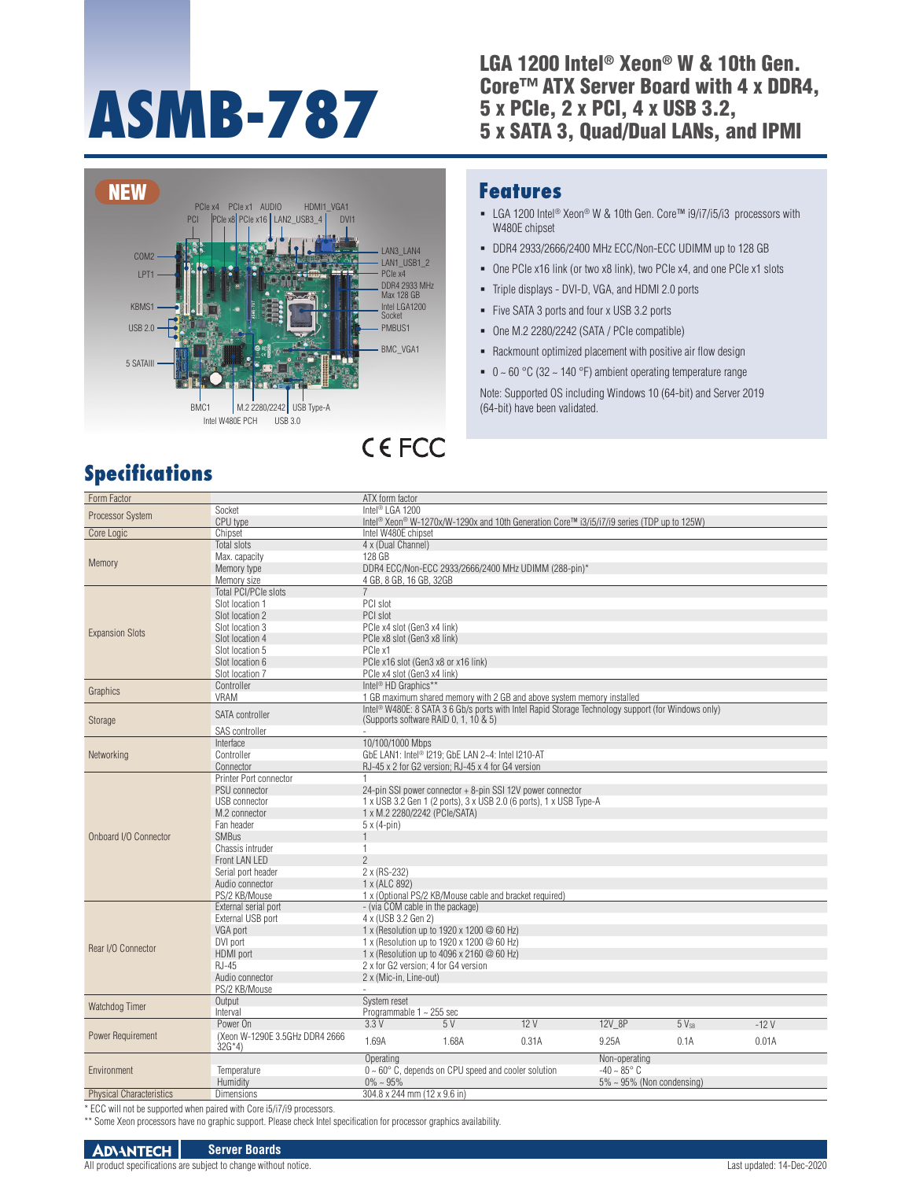# **ASMB-787**

## LGA 1200 Intel® Xeon® W & 10th Gen. Core™ ATX Server Board with 4 x DDR4, 5 x PCIe, 2 x PCI, 4 x USB 3.2, 5 x SATA 3, Quad/Dual LANs, and IPMI



# **Specifications**

### **Features**

- LGA 1200 Intel<sup>®</sup> Xeon<sup>®</sup> W & 10th Gen. Core™ i9/i7/i5/i3 processors with W480E chipset
- DDR4 2933/2666/2400 MHz ECC/Non-ECC UDIMM up to 128 GB
- One PCIe x16 link (or two x8 link), two PCIe x4, and one PCIe x1 slots
- Triple displays DVI-D, VGA, and HDMI 2.0 ports
- Five SATA 3 ports and four x USB 3.2 ports
- One M.2 2280/2242 (SATA / PCIe compatible)
- Rackmount optimized placement with positive air flow design
- $\bullet$  0 ~ 60 °C (32 ~ 140 °F) ambient operating temperature range

Note: Supported OS including Windows 10 (64-bit) and Server 2019 (64-bit) have been validated.

| Form Factor                     |                                           | ATX form factor                                                                                                    |                                                               |                                                                                                                |               |           |        |
|---------------------------------|-------------------------------------------|--------------------------------------------------------------------------------------------------------------------|---------------------------------------------------------------|----------------------------------------------------------------------------------------------------------------|---------------|-----------|--------|
| Processor System                | Socket                                    | Intel <sup>®</sup> LGA 1200                                                                                        |                                                               |                                                                                                                |               |           |        |
|                                 | CPU type                                  | Intel <sup>®</sup> Xeon <sup>®</sup> W-1270x/W-1290x and 10th Generation Core™ i3/i5/i7/i9 series (TDP up to 125W) |                                                               |                                                                                                                |               |           |        |
| Core Logic                      | Chipset                                   | Intel W480E chipset                                                                                                |                                                               |                                                                                                                |               |           |        |
|                                 | Total slots                               | 4 x (Dual Channel)                                                                                                 |                                                               |                                                                                                                |               |           |        |
|                                 | Max. capacity                             | 128 GB                                                                                                             |                                                               |                                                                                                                |               |           |        |
| Memory                          | Memory type                               |                                                                                                                    |                                                               | DDR4 ECC/Non-ECC 2933/2666/2400 MHz UDIMM (288-pin)*                                                           |               |           |        |
| <b>Expansion Slots</b>          | Memory size                               | 4 GB, 8 GB, 16 GB, 32GB                                                                                            |                                                               |                                                                                                                |               |           |        |
|                                 | <b>Total PCI/PCIe slots</b>               | $\overline{7}$                                                                                                     |                                                               |                                                                                                                |               |           |        |
|                                 | Slot location 1                           | PCI slot                                                                                                           |                                                               |                                                                                                                |               |           |        |
|                                 | Slot location 2                           | PCI slot                                                                                                           |                                                               |                                                                                                                |               |           |        |
|                                 | Slot location 3                           | PCle x4 slot (Gen3 x4 link)                                                                                        |                                                               |                                                                                                                |               |           |        |
|                                 | Slot location 4                           | PCle x8 slot (Gen3 x8 link)                                                                                        |                                                               |                                                                                                                |               |           |        |
|                                 | Slot location 5                           | PCle x1                                                                                                            |                                                               |                                                                                                                |               |           |        |
|                                 | Slot location 6                           | PCle x16 slot (Gen3 x8 or x16 link)                                                                                |                                                               |                                                                                                                |               |           |        |
|                                 | Slot location 7                           | PCle x4 slot (Gen3 x4 link)                                                                                        |                                                               |                                                                                                                |               |           |        |
|                                 | Controller                                | Intel <sup>®</sup> HD Graphics**                                                                                   |                                                               |                                                                                                                |               |           |        |
| Graphics                        | <b>VRAM</b>                               |                                                                                                                    |                                                               | 1 GB maximum shared memory with 2 GB and above system memory installed                                         |               |           |        |
|                                 | <b>SATA</b> controller                    |                                                                                                                    |                                                               | Intel <sup>®</sup> W480E: 8 SATA 3 6 Gb/s ports with Intel Rapid Storage Technology support (for Windows only) |               |           |        |
| Storage<br>Networking           |                                           | (Supports software RAID 0, 1, 10 & 5)                                                                              |                                                               |                                                                                                                |               |           |        |
|                                 | SAS controller                            |                                                                                                                    |                                                               |                                                                                                                |               |           |        |
|                                 | Interface                                 | 10/100/1000 Mbps                                                                                                   |                                                               |                                                                                                                |               |           |        |
|                                 | Controller                                |                                                                                                                    | GbE LAN1: Intel <sup>®</sup> I219; GbE LAN 2~4: Intel I210-AT |                                                                                                                |               |           |        |
|                                 | Connector                                 |                                                                                                                    | RJ-45 x 2 for G2 version; RJ-45 x 4 for G4 version            |                                                                                                                |               |           |        |
|                                 | Printer Port connector                    |                                                                                                                    |                                                               |                                                                                                                |               |           |        |
|                                 | PSU connector                             |                                                                                                                    | 24-pin SSI power connector + 8-pin SSI 12V power connector    |                                                                                                                |               |           |        |
|                                 | <b>USB</b> connector                      |                                                                                                                    |                                                               | 1 x USB 3.2 Gen 1 (2 ports), 3 x USB 2.0 (6 ports), 1 x USB Type-A                                             |               |           |        |
|                                 | M.2 connector                             | 1 x M.2 2280/2242 (PCle/SATA)                                                                                      |                                                               |                                                                                                                |               |           |        |
|                                 | Fan header                                | $5 \times (4-pin)$                                                                                                 |                                                               |                                                                                                                |               |           |        |
| Onboard I/O Connector           | <b>SMBus</b>                              | $\mathbf{1}$                                                                                                       |                                                               |                                                                                                                |               |           |        |
|                                 | Chassis intruder                          | $\mathbf{1}$                                                                                                       |                                                               |                                                                                                                |               |           |        |
|                                 | Front LAN LED                             | $\overline{2}$                                                                                                     |                                                               |                                                                                                                |               |           |        |
|                                 | Serial port header                        | 2 x (RS-232)                                                                                                       |                                                               |                                                                                                                |               |           |        |
|                                 | Audio connector                           | 1 x (ALC 892)                                                                                                      |                                                               |                                                                                                                |               |           |        |
|                                 | PS/2 KB/Mouse                             |                                                                                                                    | 1 x (Optional PS/2 KB/Mouse cable and bracket required)       |                                                                                                                |               |           |        |
|                                 | External serial port                      | - (via COM cable in the package)                                                                                   |                                                               |                                                                                                                |               |           |        |
|                                 | External USB port                         | 4 x (USB 3.2 Gen 2)                                                                                                |                                                               |                                                                                                                |               |           |        |
|                                 | VGA port                                  | 1 x (Resolution up to 1920 x 1200 @ 60 Hz)                                                                         |                                                               |                                                                                                                |               |           |        |
| Rear I/O Connector              | DVI port                                  | 1 x (Resolution up to 1920 x 1200 @ 60 Hz)                                                                         |                                                               |                                                                                                                |               |           |        |
|                                 | HDMI port                                 | 1 x (Resolution up to 4096 x 2160 @ 60 Hz)                                                                         |                                                               |                                                                                                                |               |           |        |
|                                 | $R.I-45$                                  | 2 x for G2 version: 4 for G4 version                                                                               |                                                               |                                                                                                                |               |           |        |
|                                 | Audio connector                           | 2 x (Mic-in, Line-out)                                                                                             |                                                               |                                                                                                                |               |           |        |
|                                 | PS/2 KB/Mouse                             |                                                                                                                    |                                                               |                                                                                                                |               |           |        |
| Watchdog Timer                  | Output                                    | System reset                                                                                                       |                                                               |                                                                                                                |               |           |        |
|                                 | Interval                                  | Programmable 1 ~ 255 sec                                                                                           |                                                               |                                                                                                                |               |           |        |
|                                 | Power On                                  | 3.3V                                                                                                               | 5V                                                            | 12V                                                                                                            | 12V 8P        | $5V_{SB}$ | $-12V$ |
| Power Requirement               | (Xeon W-1290E 3.5GHz DDR4 2666<br>$32G*4$ | 1.69A                                                                                                              | 1.68A                                                         | 0.31A                                                                                                          | 9.25A         | 0.1A      | 0.01A  |
|                                 |                                           | Operating                                                                                                          |                                                               |                                                                                                                | Non-operating |           |        |
| Environment                     | Temperature                               | $0 \sim 60^\circ$ C, depends on CPU speed and cooler solution<br>$-40 - 85^{\circ}$ C                              |                                                               |                                                                                                                |               |           |        |
|                                 | Humidity                                  | $5\% \sim 95\%$ (Non condensing)<br>$0\% \sim 95\%$                                                                |                                                               |                                                                                                                |               |           |        |
| <b>Physical Characteristics</b> | <b>Dimensions</b>                         | 304.8 x 244 mm (12 x 9.6 in)                                                                                       |                                                               |                                                                                                                |               |           |        |

\* ECC will not be supported when paired with Core i5/i7/i9 processors.

\*\* Some Xeon processors have no graphic support. Please check Intel specification for processor graphics availability.

#### **ADVANTECH Server Boards**

All product specifications are subject to change without notice. 
<br>
All product specifications are subject to change without notice.